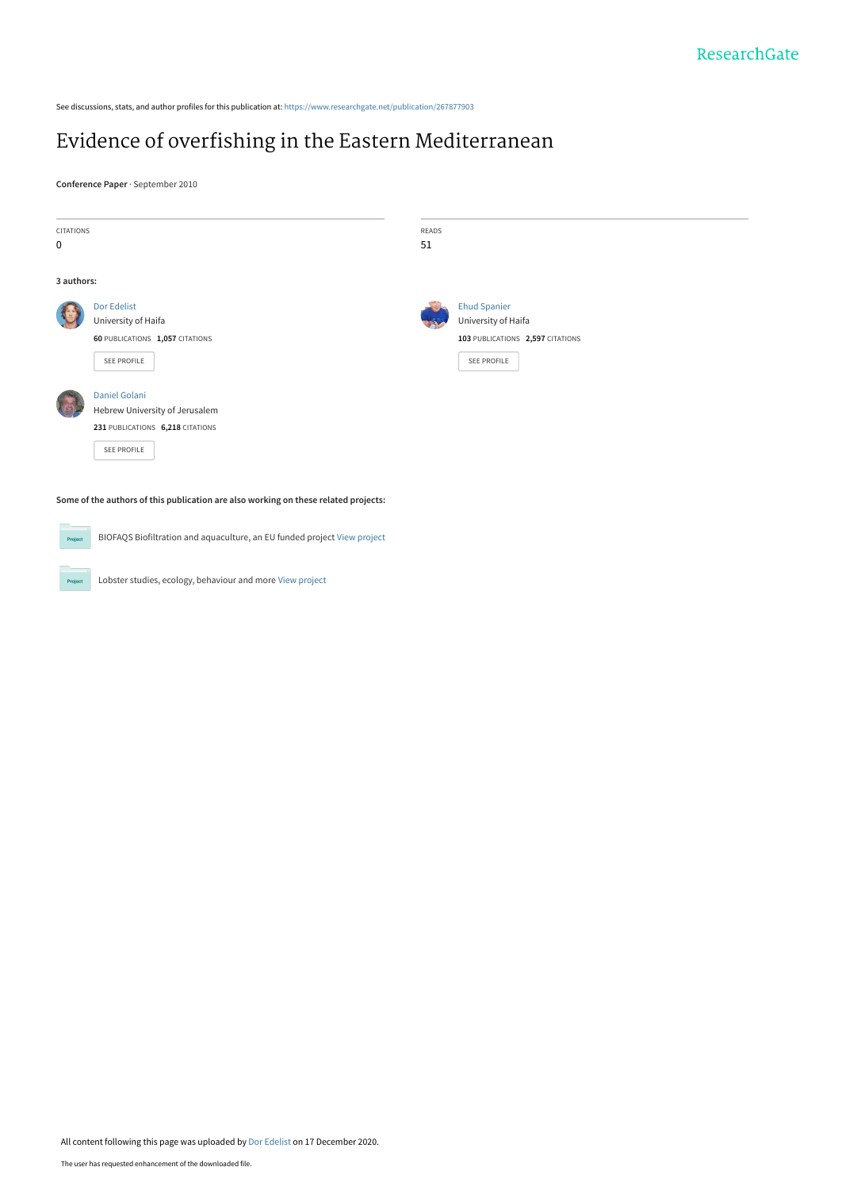See discussions, stats, and author profiles for this publication at: [https://www.researchgate.net/publication/267877903](https://www.researchgate.net/publication/267877903_Evidence_of_overfishing_in_the_Eastern_Mediterranean?enrichId=rgreq-da732dc85592aaba800f51a479398002-XXX&enrichSource=Y292ZXJQYWdlOzI2Nzg3NzkwMztBUzo5Njk3NTgxMjQwNDQzMDBAMTYwODIxOTc2Mjg3OA%3D%3D&el=1_x_2&_esc=publicationCoverPdf)

# [Evidence of overfishing in the Eastern Mediterranean](https://www.researchgate.net/publication/267877903_Evidence_of_overfishing_in_the_Eastern_Mediterranean?enrichId=rgreq-da732dc85592aaba800f51a479398002-XXX&enrichSource=Y292ZXJQYWdlOzI2Nzg3NzkwMztBUzo5Njk3NTgxMjQwNDQzMDBAMTYwODIxOTc2Mjg3OA%3D%3D&el=1_x_3&_esc=publicationCoverPdf)

**Conference Paper** · September 2010

| <b>CITATIONS</b><br>0 |                                                                                                           | READS<br>51 |                                                                                                      |
|-----------------------|-----------------------------------------------------------------------------------------------------------|-------------|------------------------------------------------------------------------------------------------------|
| 3 authors:            |                                                                                                           |             |                                                                                                      |
|                       | <b>Dor Edelist</b><br>University of Haifa<br>60 PUBLICATIONS 1,057 CITATIONS<br><b>SEE PROFILE</b>        |             | <b>Ehud Spanier</b><br>University of Haifa<br>103 PUBLICATIONS 2,597 CITATIONS<br><b>SEE PROFILE</b> |
|                       | Daniel Golani<br>Hebrew University of Jerusalem<br>231 PUBLICATIONS 6,218 CITATIONS<br><b>SEE PROFILE</b> |             |                                                                                                      |
|                       | Some of the authors of this publication are also working on these related projects:                       |             |                                                                                                      |
| Project               | BIOFAQS Biofiltration and aquaculture, an EU funded project View project                                  |             |                                                                                                      |

Lobster studies, ecology, behaviour and more [View project](https://www.researchgate.net/project/Lobster-studies-ecology-behaviour-and-more?enrichId=rgreq-da732dc85592aaba800f51a479398002-XXX&enrichSource=Y292ZXJQYWdlOzI2Nzg3NzkwMztBUzo5Njk3NTgxMjQwNDQzMDBAMTYwODIxOTc2Mjg3OA%3D%3D&el=1_x_9&_esc=publicationCoverPdf) **Project**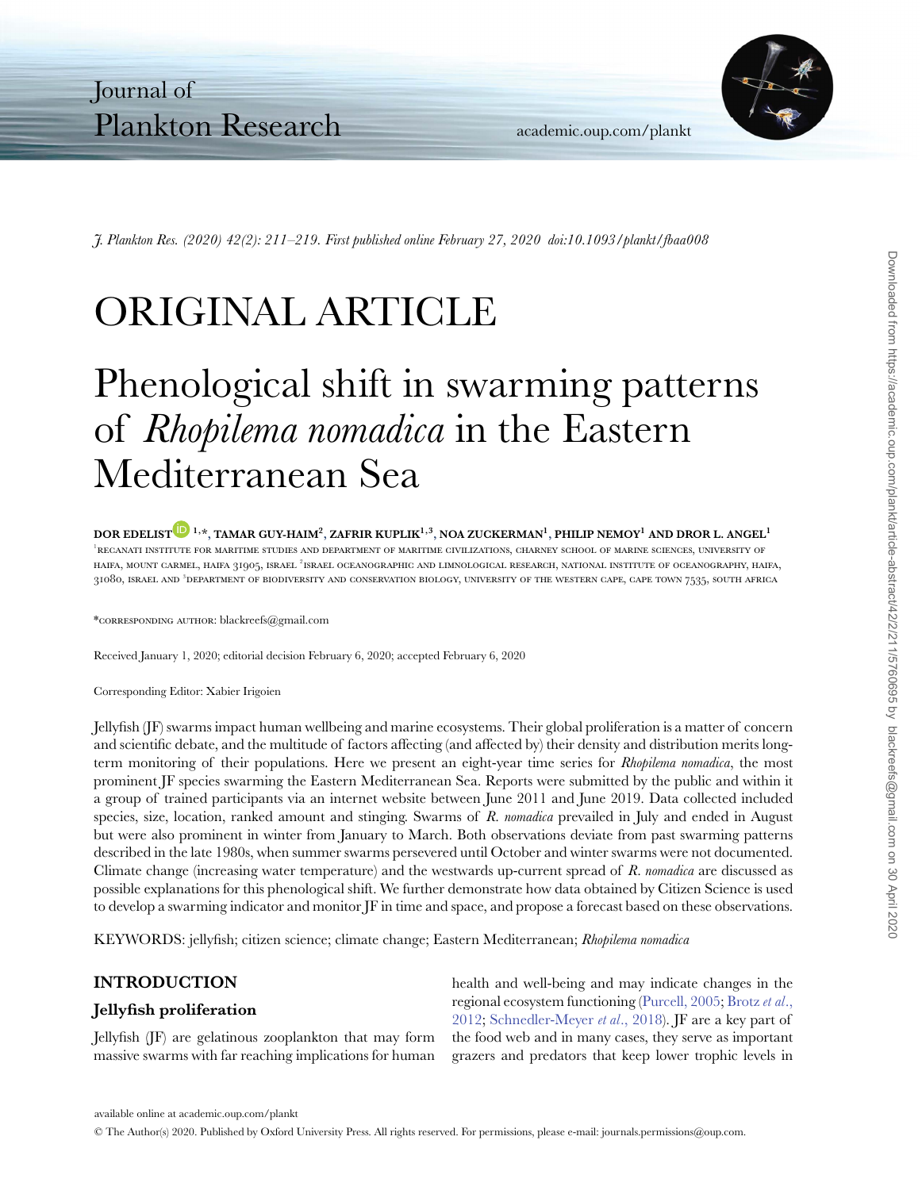

*J. Plankton Res. (2020) 42(2): 211–219. First published online February 27, 2020 doi:10.1093/plankt/fbaa008*

# ORIGINAL ARTICLE

# Phenological shift in swarming patterns of *Rhopilema nomadica* in the Eastern Mediterranean Sea

#### DOR EDELIS[T](http://orcid.org/0000-0001-9801-4205) <sup>1,\*</sup>, TAMAR GUY-HAIM<sup>2</sup>, ZAFRIR KUPLIK<sup>1,3</sup>, NOA ZUCKERMAN<sup>1</sup>, PHILIP NEMOY<sup>1</sup> AND DROR L. ANGEL<sup>1</sup> RECANATI INSTITUTE FOR MARITIME STUDIES AND DEPARTMENT OF MARITIME CIVILIZATIONS, CHARNEY SCHOOL OF MARINE SCIENCES, UNIVERSITY OF HAIFA, MOUNT CARMEL, HAIFA 31905, ISRAEL <sup>2</sup>ISRAEL OCEANOGRAPHIC AND LIMNOLOGICAL RESEARCH, NATIONAL INSTITUTE OF OCEANOGRAPHY, HAIFA, 31080, ISRAEL AND <sup>3</sup>DEPARTMENT OF BIODIVERSITY AND CONSERVATION BIOLOGY, UNIVERSITY OF THE WESTERN CAPE, CAPE TOWN 7535, SOUTH AFRICA

\*corresponding author: blackreefs@gmail.com

Received January 1, 2020; editorial decision February 6, 2020; accepted February 6, 2020

Corresponding Editor: Xabier Irigoien

Jellyfish (JF) swarms impact human wellbeing and marine ecosystems. Their global proliferation is a matter of concern and scientific debate, and the multitude of factors affecting (and affected by) their density and distribution merits longterm monitoring of their populations. Here we present an eight-year time series for *Rhopilema nomadica*, the most prominent JF species swarming the Eastern Mediterranean Sea. Reports were submitted by the public and within it a group of trained participants via an internet website between June 2011 and June 2019. Data collected included species, size, location, ranked amount and stinging. Swarms of *R. nomadica* prevailed in July and ended in August but were also prominent in winter from January to March. Both observations deviate from past swarming patterns described in the late 1980s, when summer swarms persevered until October and winter swarms were not documented. Climate change (increasing water temperature) and the westwards up-current spread of *R. nomadica* are discussed as possible explanations for this phenological shift. We further demonstrate how data obtained by Citizen Science is used to develop a swarming indicator and monitor JF in time and space, and propose a forecast based on these observations.

KEYWORDS: jellyfish; citizen science; climate change; Eastern Mediterranean; *Rhopilema nomadica*

# INTRODUCTION

# Jellyfish proliferation

Jellyfish (JF) are gelatinous zooplankton that may form massive swarms with far reaching implications for human health and well-being and may indicate changes in the [regional ecosystem functioning \(](#page-8-0)[Purcell, 2005](#page-9-0)[;](#page-8-0) Brotz *et al*., 2012; [Schnedler-Meyer](#page-9-1) *et al*., 2018). JF are a key part of the food web and in many cases, they serve as important grazers and predators that keep lower trophic levels in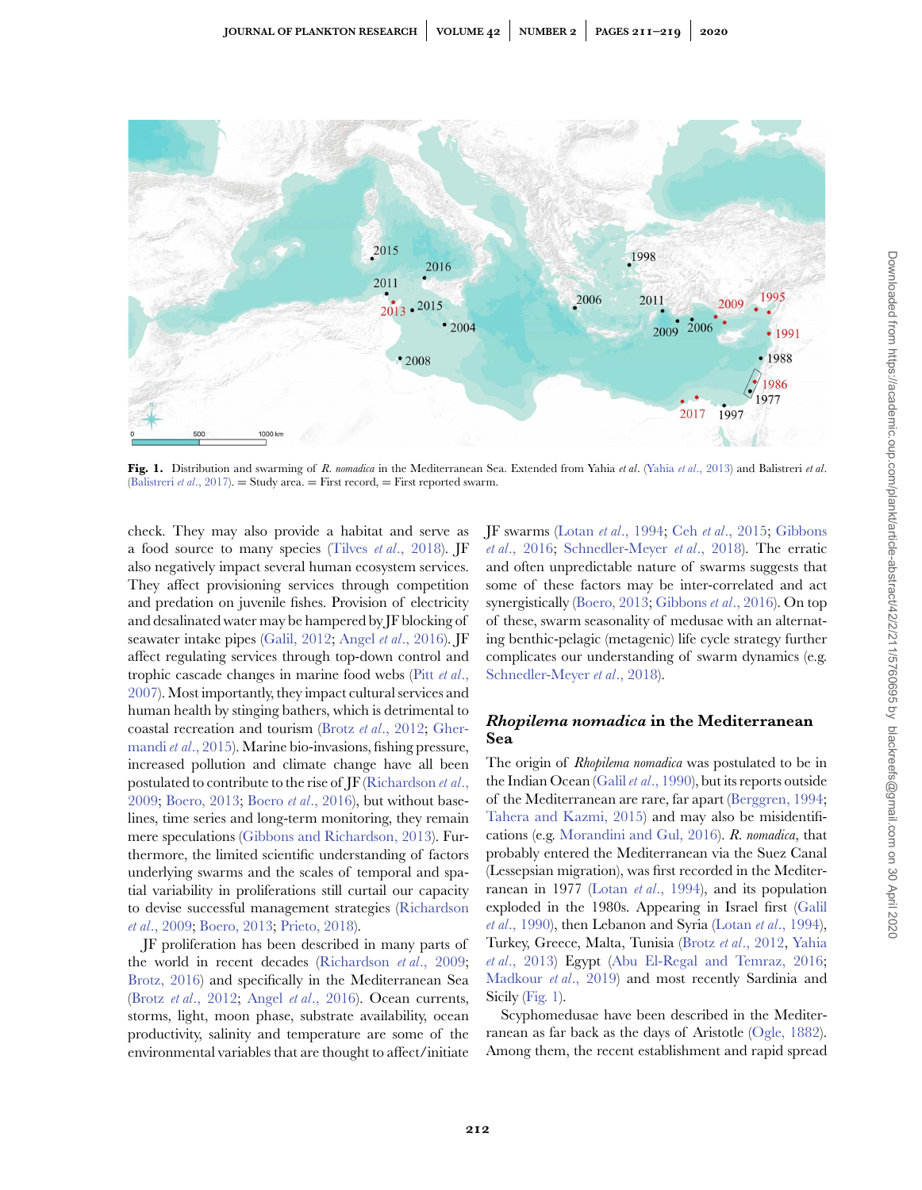

<span id="page-2-0"></span>**Fig. 1.** Distribution and swarming of *R. nomadica* in the Mediterranean Sea. Extended from Yahia *et al*. (Yahia *et al*[., 2013\)](#page-9-2) and Balistreri *et al*.  $(Balisterri et al., 2017) = Study area = First record = First reported swarm.$ 

check. They may also provide a habitat and serve as a food source to many species (Tilves *et al*[., 2018\)](#page-9-3). JF also negatively impact several human ecosystem services. They affect provisioning services through competition and predation on juvenile fishes. Provision of electricity and desalinated water may be hampered by JF blocking of seawater intake pipes [\(Galil, 2012;](#page-8-2) Angel *et al*[., 2016\)](#page-8-3). JF affect regulating services through top-down control and trophic cascade changes in marine food webs (Pitt *et al*., [2007\). Most importantly, they impact cultural services and](#page-9-4) human health by stinging bathers, which is detrimental to coastal recreation and tourism (Brotz *et al*[., 2012;](#page-8-0) Ghermandi *et al*[., 2015\). Marine bio-invasions, fishing pressure,](#page-8-4) increased pollution and climate change have all been [postulated to contribute to the rise of JF \(Richardson](#page-9-5) *et al*., 2009; [Boero, 2013;](#page-8-5) Boero *et al*[., 2016\)](#page-8-6), but without baselines, time series and long-term monitoring, they remain mere speculations [\(Gibbons and Richardson, 2013\)](#page-8-7). Furthermore, the limited scientific understanding of factors underlying swarms and the scales of temporal and spatial variability in proliferations still curtail our capacity [to devise successful management strategies \(Richardson](#page-9-5) *et al*., 2009; [Boero, 2013;](#page-8-5) [Prieto, 2018\)](#page-9-6).

JF proliferation has been described in many parts of the world in recent decades [\(Richardson](#page-9-5) *et al*., 2009; [Brotz, 2016\)](#page-8-8) and specifically in the Mediterranean Sea (Brotz *et al*[., 2012;](#page-8-0) Angel *et al*[., 2016\)](#page-8-3). Ocean currents, storms, light, moon phase, substrate availability, ocean productivity, salinity and temperature are some of the environmental variables that are thought to affect/initiate JF swarms (Lotan *et al*[., 1994;](#page-9-7) Ceh *et al*[., 2015;](#page-8-9) Gibbons *et al*., 2016; [Schnedler-Meyer](#page-9-1) *et al*[., 2018\). The erratic](#page-8-10) and often unpredictable nature of swarms suggests that some of these factors may be inter-correlated and act synergistically [\(Boero, 2013;](#page-8-5) [Gibbons](#page-8-10) *et al*., 2016). On top of these, swarm seasonality of medusae with an alternating benthic-pelagic (metagenic) life cycle strategy further complicates our understanding of swarm dynamics (e.g. [Schnedler-Meyer](#page-9-1) *et al*., 2018).

# Rhopilema nomadica in the Mediterranean Sea

The origin of *Rhopilema nomadica* was postulated to be in the Indian Ocean (Galil *et al*[., 1990\)](#page-8-11), but its reports outside of the Mediterranean are rare, far apart [\(Berggren, 1994;](#page-8-12) [Tahera and Kazmi, 2015\)](#page-9-8) and may also be misidentifications (e.g. [Morandini and Gul, 2016\)](#page-9-9). *R. nomadica*, that probably entered the Mediterranean via the Suez Canal (Lessepsian migration), was first recorded in the Mediterranean in 1977 (Lotan *et al*[., 1994\)](#page-9-7), and its population [exploded in the 1980s. Appearing in Israel first \(Galil](#page-8-11) *et al*., 1990), then Lebanon and Syria (Lotan *et al*[., 1994\)](#page-9-7), Turkey, Greece, Malta, Tunisia (Brotz *et al*[., 2012,](#page-8-0) Yahia *et al*[., 2013\) Egypt \(Abu El-Regal and Temraz, 2016;](#page-9-2) [Madkour](#page-9-10) *et al*., 2019) and most recently Sardinia and Sicily [\(Fig. 1\)](#page-2-0).

Scyphomedusae have been described in the Mediterranean as far back as the days of Aristotle [\(Ogle, 1882\)](#page-9-11). Among them, the recent establishment and rapid spread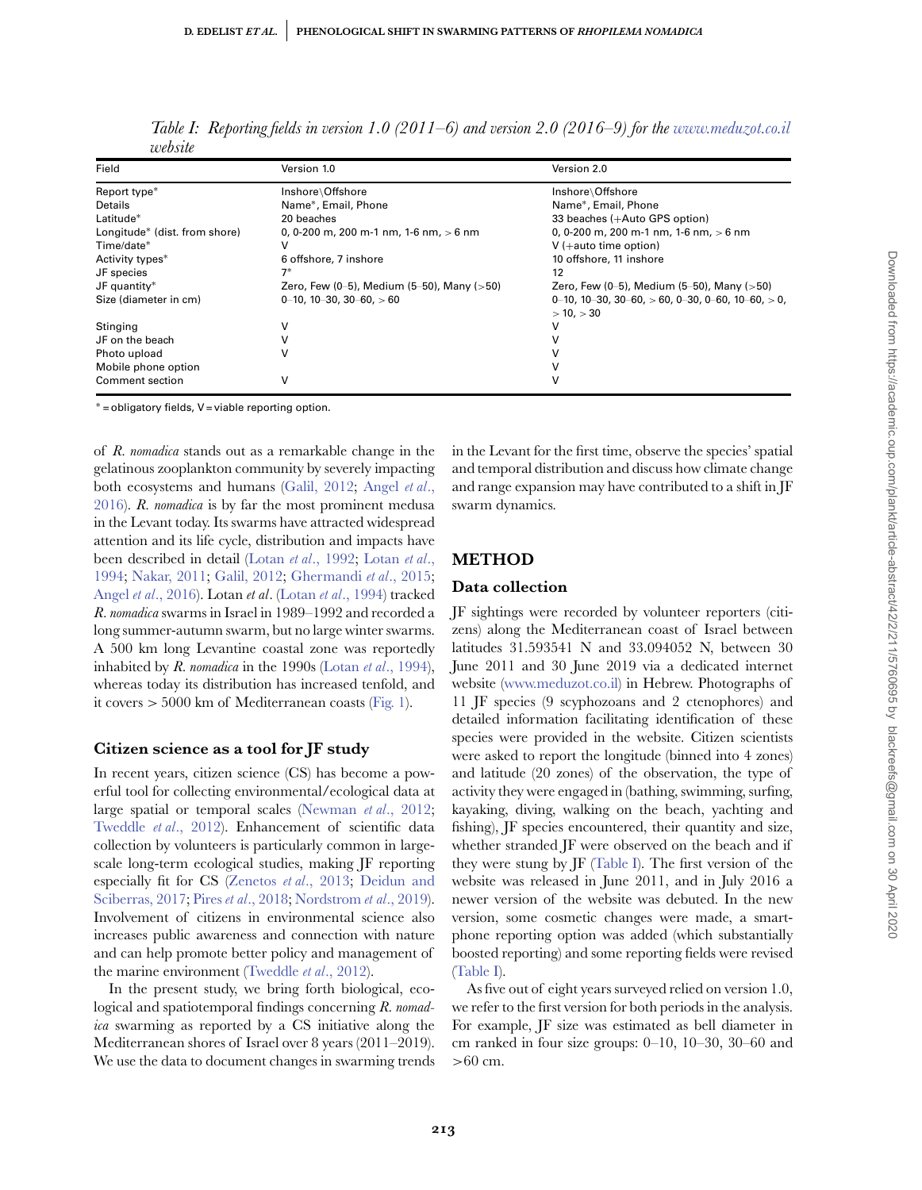<span id="page-3-0"></span>

| Field                         | Version 1.0                                    | Version 2.0                                                                             |  |  |  |  |  |
|-------------------------------|------------------------------------------------|-----------------------------------------------------------------------------------------|--|--|--|--|--|
| Report type*                  | Inshore\Offshore                               | Inshore\Offshore                                                                        |  |  |  |  |  |
| Details                       | Name*, Email, Phone                            | Name*, Email, Phone                                                                     |  |  |  |  |  |
| Latitude*                     | 20 beaches                                     | 33 beaches (+Auto GPS option)                                                           |  |  |  |  |  |
| Longitude* (dist. from shore) | 0, 0-200 m, 200 m-1 nm, 1-6 nm, $>$ 6 nm       | 0, 0-200 m, 200 m-1 nm, 1-6 nm, $>$ 6 nm                                                |  |  |  |  |  |
| Time/date*                    |                                                | $V$ (+auto time option)                                                                 |  |  |  |  |  |
| Activity types*               | 6 offshore, 7 inshore                          | 10 offshore, 11 inshore                                                                 |  |  |  |  |  |
| JF species                    | 7*                                             | 12                                                                                      |  |  |  |  |  |
| JF quantity*                  | Zero, Few (0-5), Medium (5-50), Many ( $>50$ ) | Zero, Few (0–5), Medium (5–50), Many ( $>50$ )                                          |  |  |  |  |  |
| Size (diameter in cm)         | $0-10$ , 10-30, 30-60, $>60$                   | $0-10$ , $10-30$ , $30-60$ , $>60$ , $0-30$ , $0-60$ , $10-60$ , $>0$ ,<br>$>10.$ $>30$ |  |  |  |  |  |
| Stinging                      |                                                |                                                                                         |  |  |  |  |  |
| JF on the beach               |                                                |                                                                                         |  |  |  |  |  |
| Photo upload                  | ν                                              |                                                                                         |  |  |  |  |  |
| Mobile phone option           |                                                |                                                                                         |  |  |  |  |  |
| Comment section               | ٧                                              |                                                                                         |  |  |  |  |  |

*Table I: Reporting fields in version 1.0 (2011–6) and version 2.0 (2016–9) for the <www.meduzot.co.il> website*

∗ = obligatory fields, V = viable reporting option.

of *R. nomadica* stands out as a remarkable change in the gelatinous zooplankton community by severely impacting [both ecosystems and humans \(Galil,](#page-8-3)[2012;](#page-8-3) Angel *et al*., 2016). *R. nomadica* is by far the most prominent medusa in the Levant today. Its swarms have attracted widespread attention and its life cycle, distribution and impacts have [been described in detail \(Lotan](#page-9-7) *et al*[., 1992;](#page-9-12) Lotan *et al*., 1994; [Nakar, 2011;](#page-9-13) [Galil, 2012;](#page-8-2) [Ghermandi](#page-8-4) *et al*., 2015; Angel *et al*[., 2016\)](#page-8-3). Lotan *et al*. (Lotan *et al*[., 1994\)](#page-9-7) tracked *R. nomadica* swarms in Israel in 1989–1992 and recorded a long summer-autumn swarm, but no large winter swarms. A 500 km long Levantine coastal zone was reportedly inhabited by *R. nomadica* in the 1990s (Lotan *et al*[., 1994\)](#page-9-7), whereas today its distribution has increased tenfold, and it covers *>* 5000 km of Mediterranean coasts [\(Fig. 1\)](#page-2-0).

#### Citizen science as a tool for JF study

In recent years, citizen science (CS) has become a powerful tool for collecting environmental/ecological data at large spatial or temporal scales [\(Newman](#page-9-14) *et al*., 2012; [Tweddle](#page-9-15) *et al*., 2012). Enhancement of scientific data collection by volunteers is particularly common in largescale long-term ecological studies, making JF reporting [especially fit for CS \(](#page-8-14)[Zenetos](#page-9-16) *et al*., 2013; Deidun and Sciberras, 2017; Pires *et al*[., 2018;](#page-9-17) [Nordstrom](#page-9-18) *et al*., 2019). Involvement of citizens in environmental science also increases public awareness and connection with nature and can help promote better policy and management of the marine environment [\(Tweddle](#page-9-15) *et al*., 2012).

In the present study, we bring forth biological, ecological and spatiotemporal findings concerning *R. nomadica* swarming as reported by a CS initiative along the Mediterranean shores of Israel over 8 years (2011–2019). We use the data to document changes in swarming trends in the Levant for the first time, observe the species' spatial and temporal distribution and discuss how climate change and range expansion may have contributed to a shift in JF swarm dynamics.

#### METHOD

#### Data collection

JF sightings were recorded by volunteer reporters (citizens) along the Mediterranean coast of Israel between latitudes 31.593541 N and 33.094052 N, between 30 June 2011 and 30 June 2019 via a dedicated internet website [\(www.meduzot.co.il\)](www.meduzot.co.il) in Hebrew. Photographs of 11 JF species (9 scyphozoans and 2 ctenophores) and detailed information facilitating identification of these species were provided in the website. Citizen scientists were asked to report the longitude (binned into 4 zones) and latitude (20 zones) of the observation, the type of activity they were engaged in (bathing, swimming, surfing, kayaking, diving, walking on the beach, yachting and fishing), JF species encountered, their quantity and size, whether stranded JF were observed on the beach and if they were stung by JF [\(Table I\)](#page-3-0). The first version of the website was released in June 2011, and in July 2016 a newer version of the website was debuted. In the new version, some cosmetic changes were made, a smartphone reporting option was added (which substantially boosted reporting) and some reporting fields were revised [\(Table I\)](#page-3-0).

As five out of eight years surveyed relied on version 1.0, we refer to the first version for both periods in the analysis. For example, JF size was estimated as bell diameter in cm ranked in four size groups: 0–10, 10–30, 30–60 and *>*60 cm.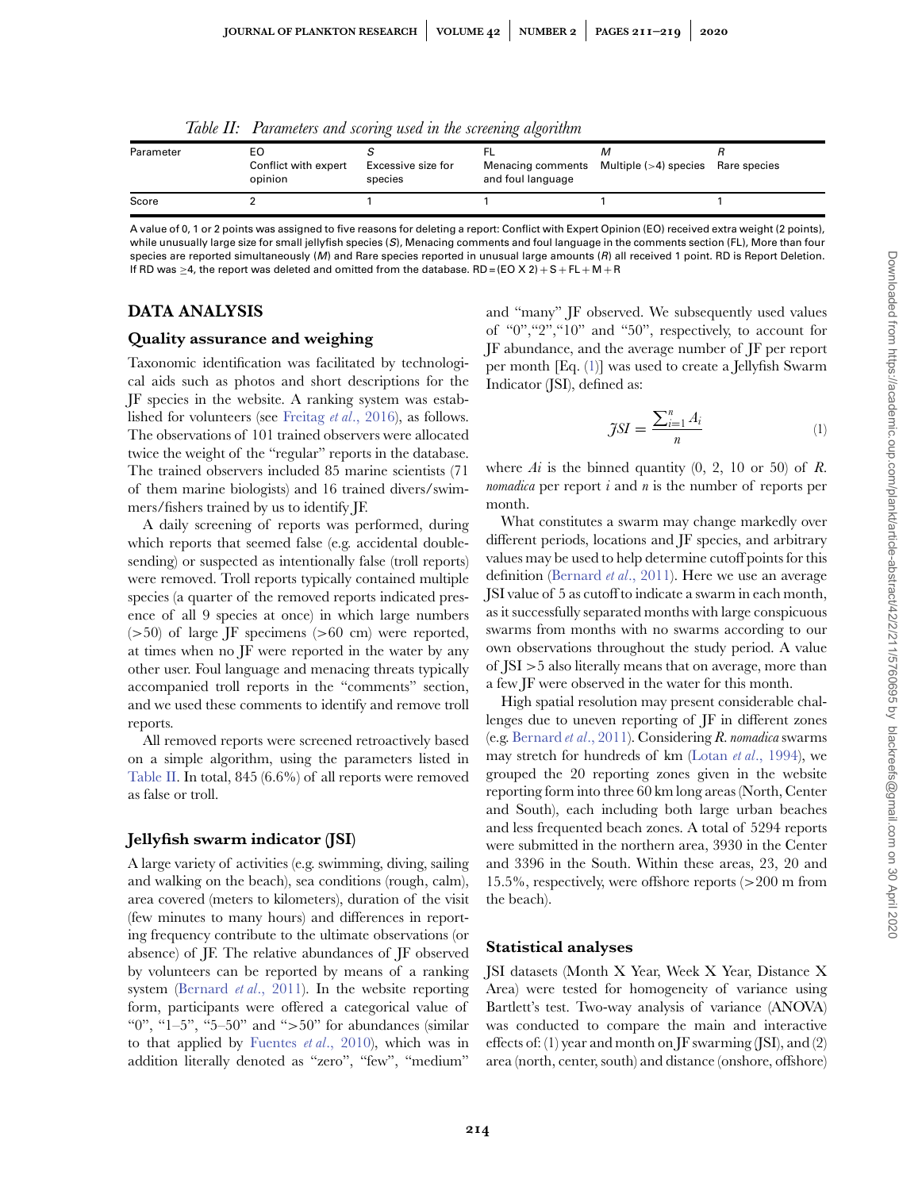<span id="page-4-0"></span>

| Parameter | Conflict with expert<br>opinion | Excessive size for<br>species | and foul language | IИ<br>Menacing comments Multiple $(>4)$ species Rare species |  |  |  |  |  |
|-----------|---------------------------------|-------------------------------|-------------------|--------------------------------------------------------------|--|--|--|--|--|
| Score     |                                 |                               |                   |                                                              |  |  |  |  |  |

*Table II: Parameters and scoring used in the screening algorithm*

A value of 0, 1 or 2 points was assigned to five reasons for deleting a report: Conflict with Expert Opinion (EO) received extra weight (2 points), while unusually large size for small jellyfish species (S), Menacing comments and foul language in the comments section (FL), More than four species are reported simultaneously (M) and Rare species reported in unusual large amounts (R) all received 1 point. RD is Report Deletion. If RD was >4, the report was deleted and omitted from the database.  $RD = (EO X 2) + S + FL + M + R$ 

# DATA ANALYSIS

# Quality assurance and weighing

Taxonomic identification was facilitated by technological aids such as photos and short descriptions for the JF species in the website. A ranking system was established for volunteers (see Freitag *et al*[., 2016\)](#page-8-15), as follows. The observations of 101 trained observers were allocated twice the weight of the "regular" reports in the database. The trained observers included 85 marine scientists (71 of them marine biologists) and 16 trained divers/swimmers/fishers trained by us to identify JF.

A daily screening of reports was performed, during which reports that seemed false (e.g. accidental doublesending) or suspected as intentionally false (troll reports) were removed. Troll reports typically contained multiple species (a quarter of the removed reports indicated presence of all 9 species at once) in which large numbers (*>*50) of large JF specimens (*>*60 cm) were reported, at times when no JF were reported in the water by any other user. Foul language and menacing threats typically accompanied troll reports in the "comments" section, and we used these comments to identify and remove troll reports.

All removed reports were screened retroactively based on a simple algorithm, using the parameters listed in [Table II.](#page-4-0) In total, 845 (6.6%) of all reports were removed as false or troll.

# Jellyfish swarm indicator (JSI)

A large variety of activities (e.g. swimming, diving, sailing and walking on the beach), sea conditions (rough, calm), area covered (meters to kilometers), duration of the visit (few minutes to many hours) and differences in reporting frequency contribute to the ultimate observations (or absence) of JF. The relative abundances of JF observed by volunteers can be reported by means of a ranking system [\(Bernard](#page-8-16) *et al*., 2011). In the website reporting form, participants were offered a categorical value of "0", "1–5", "5–50" and "*>*50" for abundances (similar to that applied by [Fuentes](#page-8-17) *et al*., 2010), which was in addition literally denoted as "zero", "few", "medium"

and "many" JF observed. We subsequently used values of "0","2","10" and "50", respectively, to account for JF abundance, and the average number of JF per report per month [Eq. [\(1\)](#page-4-1)] was used to create a Jellyfish Swarm Indicator (JSI), defined as:

<span id="page-4-1"></span>
$$
\tilde{\jmath}^{SI} = \frac{\sum_{i=1}^{n} A_i}{n} \tag{1}
$$

where *Ai* is the binned quantity (0, 2, 10 or 50) of *R. nomadica* per report *i* and *n* is the number of reports per month.

What constitutes a swarm may change markedly over different periods, locations and JF species, and arbitrary values may be used to help determine cutoff points for this definition [\(Bernard](#page-8-16) *et al*., 2011). Here we use an average JSI value of 5 as cutoff to indicate a swarm in each month, as it successfully separated months with large conspicuous swarms from months with no swarms according to our own observations throughout the study period. A value of JSI *>*5 also literally means that on average, more than a few JF were observed in the water for this month.

High spatial resolution may present considerable challenges due to uneven reporting of JF in different zones (e.g. [Bernard](#page-8-16) *et al*., 2011). Considering *R. nomadica* swarms may stretch for hundreds of km (Lotan *et al*[., 1994\)](#page-9-7), we grouped the 20 reporting zones given in the website reporting form into three 60 km long areas (North, Center and South), each including both large urban beaches and less frequented beach zones. A total of 5294 reports were submitted in the northern area, 3930 in the Center and 3396 in the South. Within these areas, 23, 20 and 15.5%, respectively, were offshore reports (*>*200 m from the beach).

# Statistical analyses

JSI datasets (Month X Year, Week X Year, Distance X Area) were tested for homogeneity of variance using Bartlett's test. Two-way analysis of variance (ANOVA) was conducted to compare the main and interactive effects of: (1) year and month on JF swarming (JSI), and (2) area (north, center, south) and distance (onshore, offshore)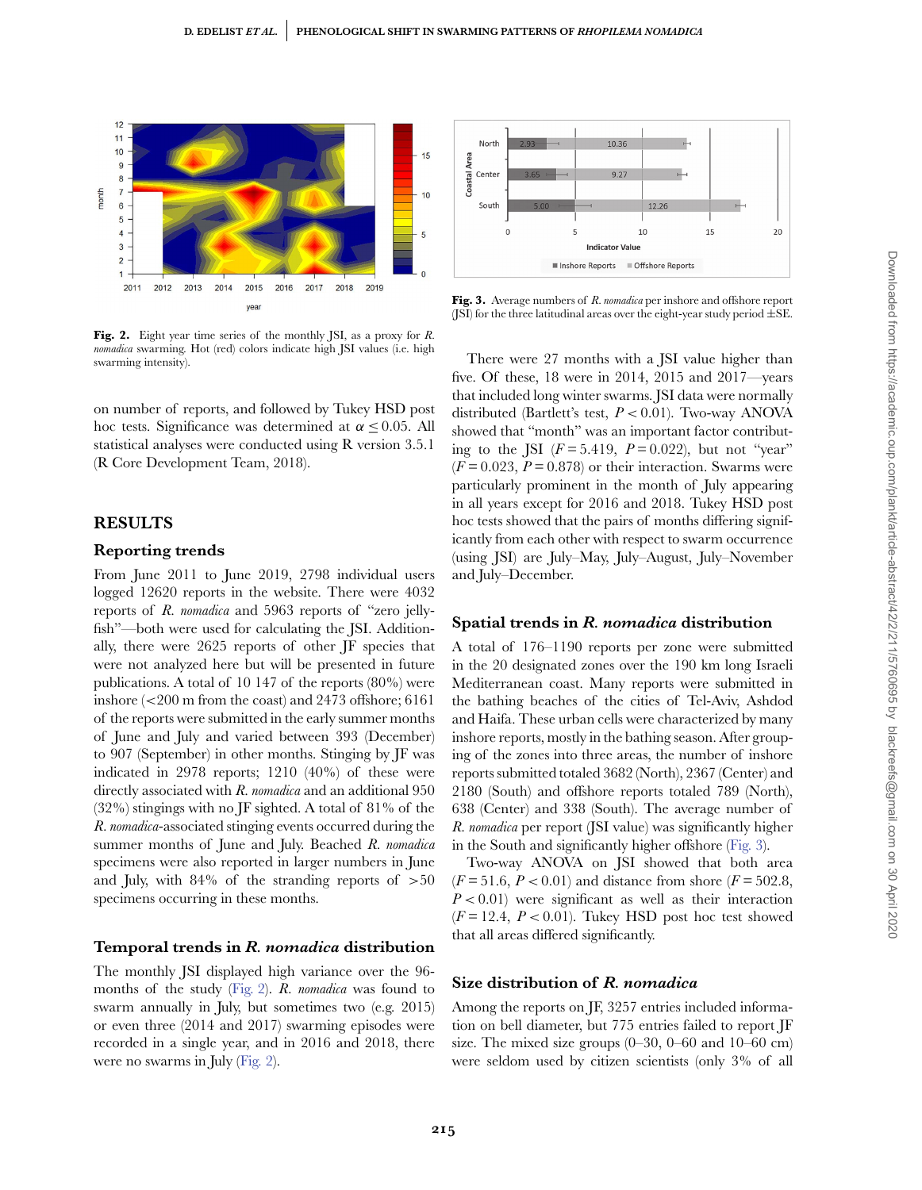

<span id="page-5-0"></span>**Fig. 2.** Eight year time series of the monthly JSI, as a proxy for *R. nomadica* swarming. Hot (red) colors indicate high JSI values (i.e. high swarming intensity).

on number of reports, and followed by Tukey HSD post hoc tests. Significance was determined at *α* ≤ 0.05. All statistical analyses were conducted using R version 3.5.1 (R Core Development Team, 2018).

#### RESULTS

#### Reporting trends

From June 2011 to June 2019, 2798 individual users logged 12620 reports in the website. There were 4032 reports of *R. nomadica* and 5963 reports of "zero jellyfish"—both were used for calculating the JSI. Additionally, there were 2625 reports of other JF species that were not analyzed here but will be presented in future publications. A total of 10 147 of the reports (80%) were inshore (*<*200 m from the coast) and 2473 offshore; 6161 of the reports were submitted in the early summer months of June and July and varied between 393 (December) to 907 (September) in other months. Stinging by JF was indicated in 2978 reports; 1210 (40%) of these were directly associated with *R. nomadica* and an additional 950 (32%) stingings with no JF sighted. A total of 81% of the *R. nomadica*-associated stinging events occurred during the summer months of June and July. Beached *R. nomadica* specimens were also reported in larger numbers in June and July, with 84% of the stranding reports of *>*50 specimens occurring in these months.

#### Temporal trends in R. nomadica distribution

The monthly JSI displayed high variance over the 96 months of the study [\(Fig. 2\)](#page-5-0). *R. nomadica* was found to swarm annually in July, but sometimes two (e.g. 2015) or even three (2014 and 2017) swarming episodes were recorded in a single year, and in 2016 and 2018, there were no swarms in July [\(Fig. 2\)](#page-5-0).



<span id="page-5-1"></span>**Fig. 3.** Average numbers of *R. nomadica* per inshore and offshore report (JSI) for the three latitudinal areas over the eight-year study period  $\pm$ SE.

There were 27 months with a JSI value higher than five. Of these, 18 were in 2014, 2015 and 2017—years that included long winter swarms. JSI data were normally distributed (Bartlett's test, *P <* 0.01). Two-way ANOVA showed that "month" was an important factor contributing to the JSI  $(F = 5.419, P = 0.022)$ , but not "year"  $(F = 0.023, P = 0.878)$  or their interaction. Swarms were particularly prominent in the month of July appearing in all years except for 2016 and 2018. Tukey HSD post hoc tests showed that the pairs of months differing significantly from each other with respect to swarm occurrence (using JSI) are July–May, July–August, July–November and July–December.

#### Spatial trends in R. nomadica distribution

A total of 176–1190 reports per zone were submitted in the 20 designated zones over the 190 km long Israeli Mediterranean coast. Many reports were submitted in the bathing beaches of the cities of Tel-Aviv, Ashdod and Haifa. These urban cells were characterized by many inshore reports, mostly in the bathing season. After grouping of the zones into three areas, the number of inshore reports submitted totaled 3682 (North), 2367 (Center) and 2180 (South) and offshore reports totaled 789 (North), 638 (Center) and 338 (South). The average number of *R. nomadica* per report (JSI value) was significantly higher in the South and significantly higher offshore [\(Fig. 3\)](#page-5-1).

Two-way ANOVA on JSI showed that both area  $(F = 51.6, P < 0.01)$  and distance from shore  $(F = 502.8,$  $P < 0.01$ ) were significant as well as their interaction  $(F = 12.4, P < 0.01)$ . Tukey HSD post hoc test showed that all areas differed significantly.

#### Size distribution of R. nomadica

Among the reports on JF, 3257 entries included information on bell diameter, but 775 entries failed to report JF size. The mixed size groups  $(0-30, 0-60, 0.01)$  and  $10-60$  cm were seldom used by citizen scientists (only 3% of all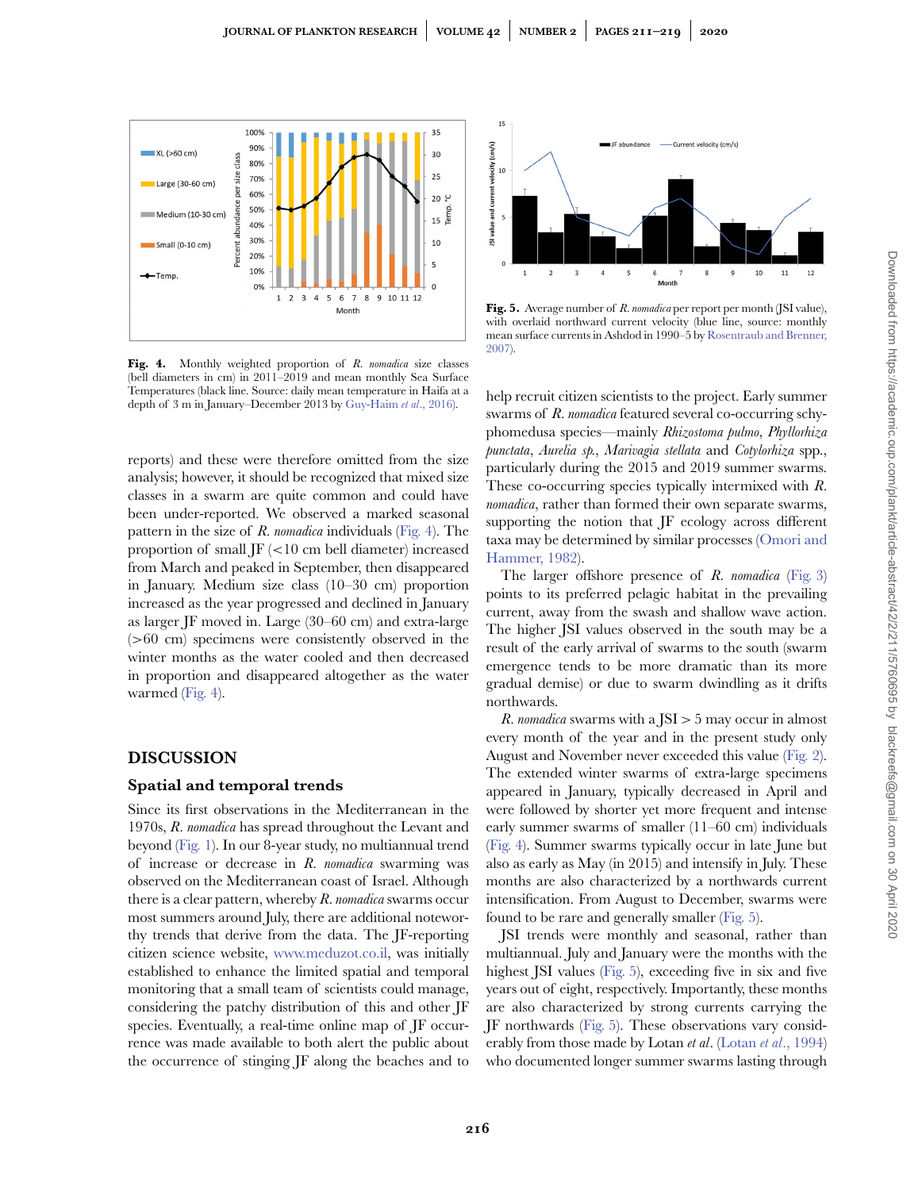

<span id="page-6-0"></span>**Fig. 4.** Monthly weighted proportion of *R. nomadica* size classes (bell diameters in cm) in 2011–2019 and mean monthly Sea Surface Temperatures (black line. Source: daily mean temperature in Haifa at a depth of 3 m in January–December 2013 by [Guy-Haim](#page-8-18) *et al*., 2016).

reports) and these were therefore omitted from the size analysis; however, it should be recognized that mixed size classes in a swarm are quite common and could have been under-reported. We observed a marked seasonal pattern in the size of *R. nomadica* individuals [\(Fig. 4\)](#page-6-0). The proportion of small JF (*<*10 cm bell diameter) increased from March and peaked in September, then disappeared in January. Medium size class (10–30 cm) proportion increased as the year progressed and declined in January as larger JF moved in. Large (30–60 cm) and extra-large (*>*60 cm) specimens were consistently observed in the winter months as the water cooled and then decreased in proportion and disappeared altogether as the water warmed [\(Fig. 4\)](#page-6-0).

# DISCUSSION

# Spatial and temporal trends

Since its first observations in the Mediterranean in the 1970s, *R. nomadica* has spread throughout the Levant and beyond [\(Fig. 1\)](#page-2-0). In our 8-year study, no multiannual trend of increase or decrease in *R. nomadica* swarming was observed on the Mediterranean coast of Israel. Although there is a clear pattern, whereby *R. nomadica* swarms occur most summers around July, there are additional noteworthy trends that derive from the data. The JF-reporting citizen science website, [www.meduzot.co.il,](www.meduzot.co.il) was initially established to enhance the limited spatial and temporal monitoring that a small team of scientists could manage, considering the patchy distribution of this and other JF species. Eventually, a real-time online map of JF occurrence was made available to both alert the public about the occurrence of stinging JF along the beaches and to



<span id="page-6-1"></span>**Fig. 5.** Average number of *R. nomadica* per report per month (JSI value), with overlaid northward current velocity (blue line, source: monthly [mean surface currents in Ashdod in 1990–5 by](#page-9-19) Rosentraub and Brenner, 2007).

help recruit citizen scientists to the project. Early summer swarms of *R. nomadica* featured several co-occurring schyphomedusa species—mainly *Rhizostoma pulmo*, *Phyllorhiza punctata*, *Aurelia sp.*, *Marivagia stellata* and *Cotylorhiza* spp., particularly during the 2015 and 2019 summer swarms. These co-occurring species typically intermixed with *R. nomadica*, rather than formed their own separate swarms, supporting the notion that JF ecology across different [taxa may be determined by similar processes \(Omori and](#page-9-20) Hammer, 1982).

The larger offshore presence of *R. nomadica* [\(Fig. 3\)](#page-5-1) points to its preferred pelagic habitat in the prevailing current, away from the swash and shallow wave action. The higher JSI values observed in the south may be a result of the early arrival of swarms to the south (swarm emergence tends to be more dramatic than its more gradual demise) or due to swarm dwindling as it drifts northwards.

*R. nomadica* swarms with a JSI *>* 5 may occur in almost every month of the year and in the present study only August and November never exceeded this value [\(Fig. 2\)](#page-5-0). The extended winter swarms of extra-large specimens appeared in January, typically decreased in April and were followed by shorter yet more frequent and intense early summer swarms of smaller (11–60 cm) individuals [\(Fig. 4\)](#page-6-0). Summer swarms typically occur in late June but also as early as May (in 2015) and intensify in July. These months are also characterized by a northwards current intensification. From August to December, swarms were found to be rare and generally smaller [\(Fig. 5\)](#page-6-1).

JSI trends were monthly and seasonal, rather than multiannual. July and January were the months with the highest JSI values [\(Fig. 5\)](#page-6-1), exceeding five in six and five years out of eight, respectively. Importantly, these months are also characterized by strong currents carrying the JF northwards [\(Fig. 5\)](#page-6-1). These observations vary considerably from those made by Lotan *et al*. (Lotan *et al*[., 1994\)](#page-9-7) who documented longer summer swarms lasting through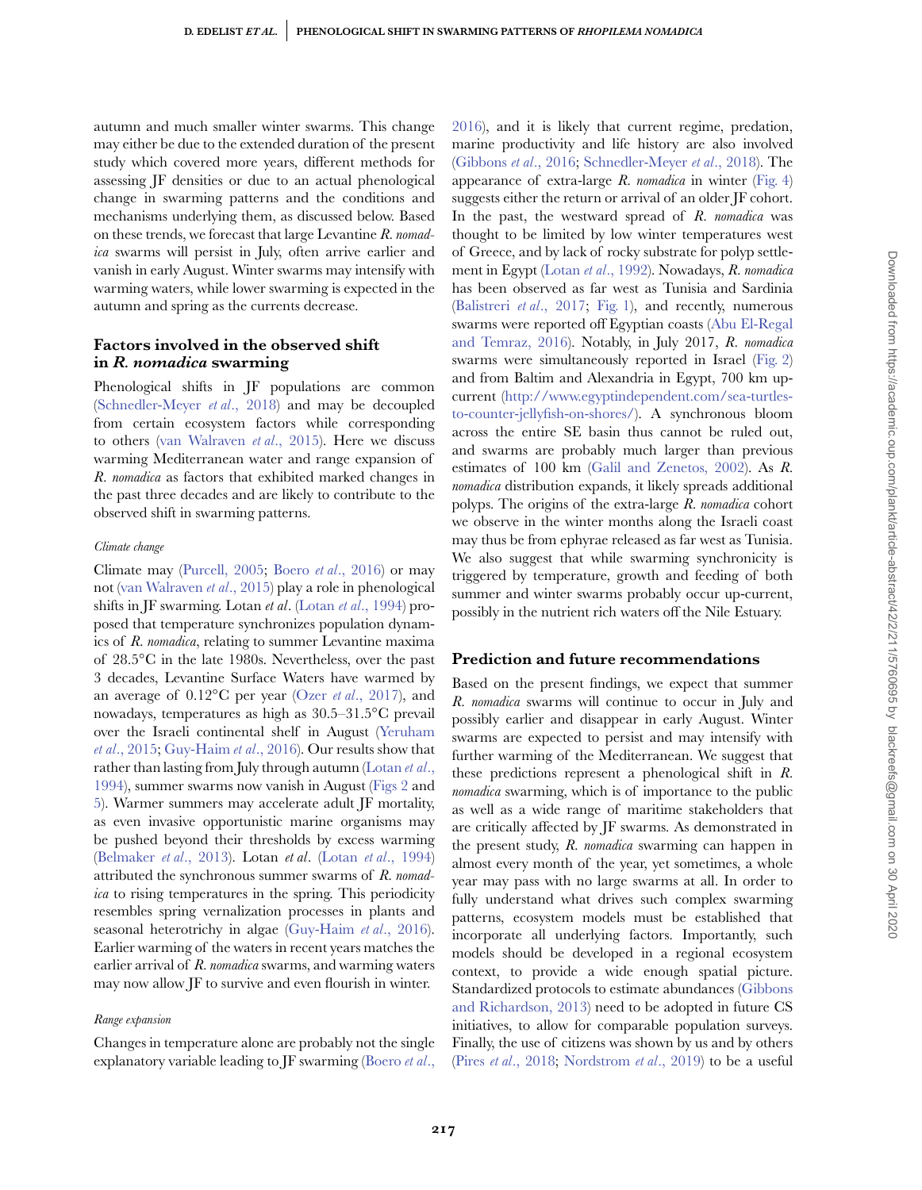autumn and much smaller winter swarms. This change may either be due to the extended duration of the present study which covered more years, different methods for assessing JF densities or due to an actual phenological change in swarming patterns and the conditions and mechanisms underlying them, as discussed below. Based on these trends, we forecast that large Levantine *R. nomadica* swarms will persist in July, often arrive earlier and vanish in early August. Winter swarms may intensify with warming waters, while lower swarming is expected in the autumn and spring as the currents decrease.

# Factors involved in the observed shift in R. nomadica swarming

Phenological shifts in JF populations are common [\(Schnedler-Meyer](#page-9-1) *et al*., 2018) and may be decoupled from certain ecosystem factors while corresponding to others [\(van Walraven](#page-9-21) *et al*., 2015). Here we discuss warming Mediterranean water and range expansion of *R. nomadica* as factors that exhibited marked changes in the past three decades and are likely to contribute to the observed shift in swarming patterns.

#### *Climate change*

Climate may [\(Purcell, 2005;](#page-9-0) Boero *et al*[., 2016\)](#page-8-6) or may not [\(van Walraven](#page-9-21) *et al*., 2015) play a role in phenological shifts in JF swarming. Lotan *et al*. (Lotan *et al*[., 1994\)](#page-9-7) proposed that temperature synchronizes population dynamics of *R. nomadica*, relating to summer Levantine maxima of 28.5◦C in the late 1980s. Nevertheless, over the past 3 decades, Levantine Surface Waters have warmed by an average of 0.12◦C per year (Ozer *et al*[., 2017\)](#page-9-22), and nowadays, temperatures as high as 30.5–31.5◦C prevail [over the Israeli continental shelf in August \(Yeruham](#page-9-23) *et al*., 2015; [Guy-Haim](#page-8-18) *et al*., 2016). Our results show that rather than lasting from July through autumn (Lotan *et al*., [1994\), summer swarms now vanish in August \(Figs 2](#page-9-7) and [5\)](#page-6-1). Warmer summers may accelerate adult JF mortality, as even invasive opportunistic marine organisms may be pushed beyond their thresholds by excess warming [\(Belmaker](#page-8-19) *et al*., 2013). Lotan *et al*. (Lotan *et al*[., 1994\)](#page-9-7) attributed the synchronous summer swarms of *R. nomadica* to rising temperatures in the spring. This periodicity resembles spring vernalization processes in plants and seasonal heterotrichy in algae [\(Guy-Haim](#page-8-18) *et al*., 2016). Earlier warming of the waters in recent years matches the earlier arrival of *R. nomadica* swarms, and warming waters may now allow JF to survive and even flourish in winter.

#### *Range expansion*

Changes in temperature alone are probably not the single explanatory variable leading to JF swarming [\(Boero](#page-8-6) *et al*., [2016\)](#page-8-6), and it is likely that current regime, predation, marine productivity and life history are also involved [\(Gibbons](#page-8-10) *et al*., 2016; [Schnedler-Meyer](#page-9-1) *et al*., 2018). The appearance of extra-large *R. nomadica* in winter [\(Fig. 4\)](#page-6-0) suggests either the return or arrival of an older IF cohort. In the past, the westward spread of *R. nomadica* was thought to be limited by low winter temperatures west of Greece, and by lack of rocky substrate for polyp settlement in Egypt (Lotan *et al*[., 1992\)](#page-9-12). Nowadays, *R. nomadica* has been observed as far west as Tunisia and Sardinia [\(Balistreri](#page-8-1) *et al*., 2017; [Fig. 1\)](#page-2-0), and recently, numerous [swarms were reported off Egyptian coasts \(Abu El-Regal](#page-8-13) and Temraz, 2016). Notably, in July 2017, *R. nomadica* swarms were simultaneously reported in Israel [\(Fig. 2\)](#page-5-0) and from Baltim and Alexandria in Egypt, 700 km upcurrent (http://www.egyptindependent.com/sea-turtles[to-counter-jellyfish-on-shores/\). A synchronous bloom](http://www.egyptindependent.com/sea-turtles-to-counter-jellyfish-on-shores/) across the entire SE basin thus cannot be ruled out, and swarms are probably much larger than previous estimates of 100 km [\(Galil and Zenetos, 2002\)](#page-8-20). As *R. nomadica* distribution expands, it likely spreads additional polyps. The origins of the extra-large *R. nomadica* cohort we observe in the winter months along the Israeli coast may thus be from ephyrae released as far west as Tunisia. We also suggest that while swarming synchronicity is triggered by temperature, growth and feeding of both summer and winter swarms probably occur up-current, possibly in the nutrient rich waters off the Nile Estuary.

#### Prediction and future recommendations

Based on the present findings, we expect that summer *R. nomadica* swarms will continue to occur in July and possibly earlier and disappear in early August. Winter swarms are expected to persist and may intensify with further warming of the Mediterranean. We suggest that these predictions represent a phenological shift in *R. nomadica* swarming, which is of importance to the public as well as a wide range of maritime stakeholders that are critically affected by JF swarms. As demonstrated in the present study, *R. nomadica* swarming can happen in almost every month of the year, yet sometimes, a whole year may pass with no large swarms at all. In order to fully understand what drives such complex swarming patterns, ecosystem models must be established that incorporate all underlying factors. Importantly, such models should be developed in a regional ecosystem context, to provide a wide enough spatial picture. [Standardized protocols to estimate abundances \(Gibbons](#page-8-7) and Richardson, 2013) need to be adopted in future CS initiatives, to allow for comparable population surveys. Finally, the use of citizens was shown by us and by others (Pires *et al*[., 2018;](#page-9-17) [Nordstrom](#page-9-18) *et al*., 2019) to be a useful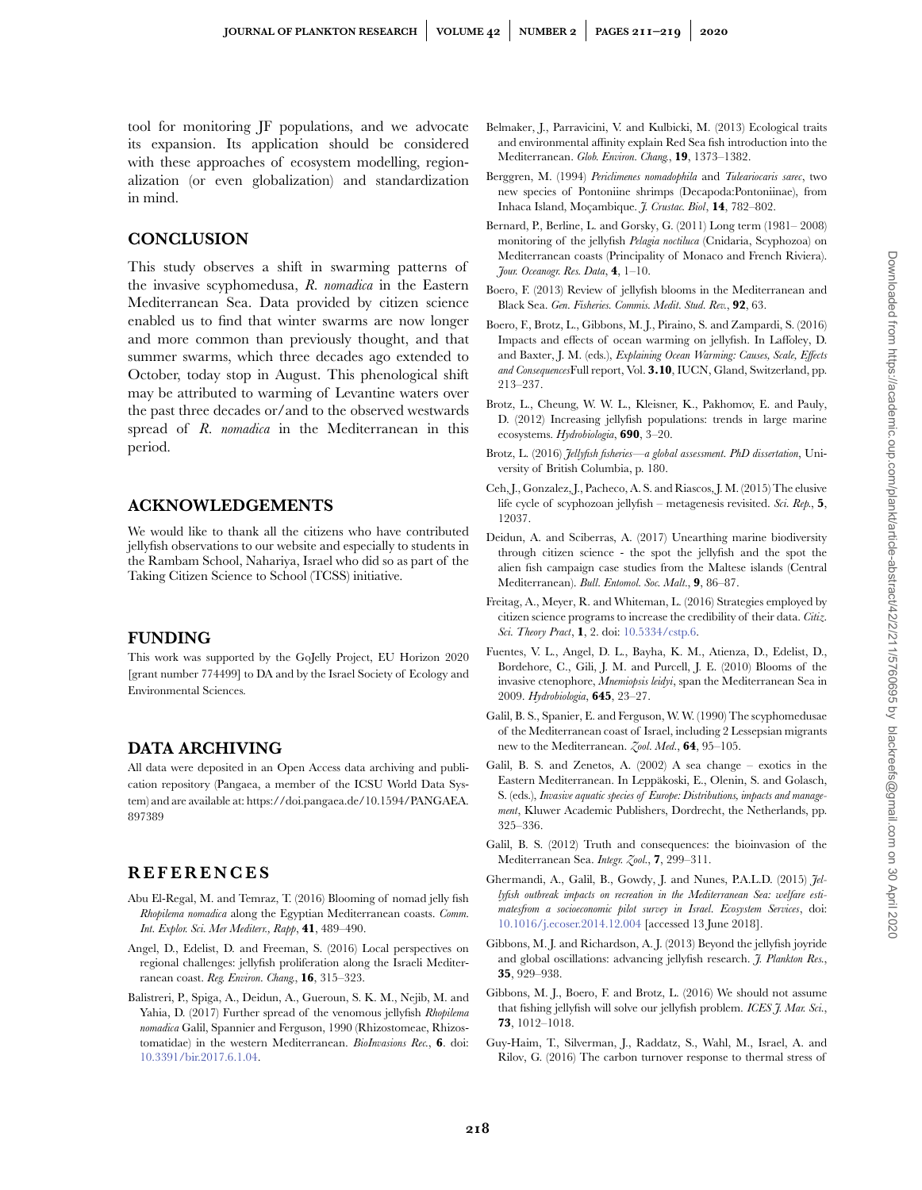tool for monitoring JF populations, and we advocate its expansion. Its application should be considered with these approaches of ecosystem modelling, regionalization (or even globalization) and standardization in mind.

# **CONCLUSION**

This study observes a shift in swarming patterns of the invasive scyphomedusa, *R. nomadica* in the Eastern Mediterranean Sea. Data provided by citizen science enabled us to find that winter swarms are now longer and more common than previously thought, and that summer swarms, which three decades ago extended to October, today stop in August. This phenological shift may be attributed to warming of Levantine waters over the past three decades or/and to the observed westwards spread of *R. nomadica* in the Mediterranean in this period.

# ACKNOWLEDGEMENTS

We would like to thank all the citizens who have contributed jellyfish observations to our website and especially to students in the Rambam School, Nahariya, Israel who did so as part of the Taking Citizen Science to School (TCSS) initiative.

# FUNDING

This work was supported by the GoJelly Project, EU Horizon 2020 [grant number 774499] to DA and by the Israel Society of Ecology and Environmental Sciences.

# DATA ARCHIVING

All data were deposited in an Open Access data archiving and publication repository (Pangaea, a member of the ICSU World Data System) and are available at: https://doi.pangaea.de/10.1594/PANGAEA. 897389

# REFERENCES

- <span id="page-8-13"></span>Abu El-Regal, M. and Temraz, T. (2016) Blooming of nomad jelly fish *Rhopilema nomadica* along the Egyptian Mediterranean coasts. *Comm. Int. Explor. Sci. Mer Mediterr., Rapp*, **41**, 489–490.
- <span id="page-8-3"></span>Angel, D., Edelist, D. and Freeman, S. (2016) Local perspectives on regional challenges: jellyfish proliferation along the Israeli Mediterranean coast. *Reg. Environ. Chang.*, **16**, 315–323.
- <span id="page-8-1"></span>Balistreri, P., Spiga, A., Deidun, A., Gueroun, S. K. M., Nejib, M. and Yahia, D. (2017) Further spread of the venomous jellyfish *Rhopilema nomadica* Galil, Spannier and Ferguson, 1990 (Rhizostomeae, Rhizostomatidae) in the western Mediterranean. *BioInvasions Rec.*, **6**. doi: [10.3391/bir.2017.6.1.04.](https://doi.org/10.3391/bir.2017.6.1.04)
- <span id="page-8-19"></span>Belmaker, J., Parravicini, V. and Kulbicki, M. (2013) Ecological traits and environmental affinity explain Red Sea fish introduction into the Mediterranean. *Glob. Environ. Chang.*, **19**, 1373–1382.
- <span id="page-8-12"></span>Berggren, M. (1994) *Periclimenes nomadophila* and *Tuleariocaris sarec*, two new species of Pontoniine shrimps (Decapoda:Pontoniinae), from Inhaca Island, Moçambique. *J. Crustac. Biol*, **14**, 782–802.
- <span id="page-8-16"></span>Bernard, P., Berline, L. and Gorsky, G. (2011) Long term (1981– 2008) monitoring of the jellyfish *Pelagia noctiluca* (Cnidaria, Scyphozoa) on Mediterranean coasts (Principality of Monaco and French Riviera). *Jour. Oceanogr. Res. Data*, **4**, 1–10.
- <span id="page-8-5"></span>Boero, F. (2013) Review of jellyfish blooms in the Mediterranean and Black Sea. *Gen. Fisheries. Commis. Medit. Stud. Rev.*, **92**, 63.
- <span id="page-8-6"></span>Boero, F., Brotz, L., Gibbons, M. J., Piraino, S. and Zampardi, S. (2016) Impacts and effects of ocean warming on jellyfish. In Laffoley, D. and Baxter, J. M. (eds.), *Explaining Ocean Warming: Causes, Scale, Effects and Consequences*Full report, Vol. **3.10**, IUCN, Gland, Switzerland, pp. 213–237.
- <span id="page-8-0"></span>Brotz, L., Cheung, W. W. L., Kleisner, K., Pakhomov, E. and Pauly, D. (2012) Increasing jellyfish populations: trends in large marine ecosystems. *Hydrobiologia*, **690**, 3–20.
- <span id="page-8-8"></span>Brotz, L. (2016) *Jellyfish fisheries—a global assessment. PhD dissertation*, University of British Columbia, p. 180.
- <span id="page-8-9"></span>Ceh, J., Gonzalez, J., Pacheco, A. S. and Riascos, J. M. (2015) The elusive life cycle of scyphozoan jellyfish – metagenesis revisited. *Sci. Rep.*, **5**, 12037.
- <span id="page-8-14"></span>Deidun, A. and Sciberras, A. (2017) Unearthing marine biodiversity through citizen science - the spot the jellyfish and the spot the alien fish campaign case studies from the Maltese islands (Central Mediterranean). *Bull. Entomol. Soc. Malt.*, **9**, 86–87.
- <span id="page-8-15"></span>Freitag, A., Meyer, R. and Whiteman, L. (2016) Strategies employed by citizen science programs to increase the credibility of their data. *Citiz. Sci. Theory Pract*, **1**, 2. doi: [10.5334/cstp.6.](https://doi.org/10.5334/cstp.6)
- <span id="page-8-17"></span>Fuentes, V. L., Angel, D. L., Bayha, K. M., Atienza, D., Edelist, D., Bordehore, C., Gili, J. M. and Purcell, J. E. (2010) Blooms of the invasive ctenophore, *Mnemiopsis leidyi*, span the Mediterranean Sea in 2009. *Hydrobiologia*, **645**, 23–27.
- <span id="page-8-11"></span>Galil, B. S., Spanier, E. and Ferguson, W. W. (1990) The scyphomedusae of the Mediterranean coast of Israel, including 2 Lessepsian migrants new to the Mediterranean. *Zool. Med.*, **64**, 95–105.
- <span id="page-8-20"></span>Galil, B. S. and Zenetos, A. (2002) A sea change – exotics in the Eastern Mediterranean. In Leppäkoski, E., Olenin, S. and Golasch, S. (eds.), *Invasive aquatic species of Europe: Distributions, impacts and management*, Kluwer Academic Publishers, Dordrecht, the Netherlands, pp. 325–336.
- <span id="page-8-2"></span>Galil, B. S. (2012) Truth and consequences: the bioinvasion of the Mediterranean Sea. *Integr. Zool.*, **7**, 299–311.
- <span id="page-8-4"></span>Ghermandi, A., Galil, B., Gowdy, J. and Nunes, P.A.L.D. (2015) *Jellyfish outbreak impacts on recreation in the Mediterranean Sea: welfare estimatesfrom a socioeconomic pilot survey in Israel. Ecosystem Services*, doi: [10.1016/j.ecoser.2014.12.004](https://doi.org/10.1016/j.ecoser.2014.12.004) [accessed 13 June 2018].
- <span id="page-8-7"></span>Gibbons, M. J. and Richardson, A. J. (2013) Beyond the jellyfish joyride and global oscillations: advancing jellyfish research. *J. Plankton Res.*, **35**, 929–938.
- <span id="page-8-10"></span>Gibbons, M. J., Boero, F. and Brotz, L. (2016) We should not assume that fishing jellyfish will solve our jellyfish problem. *ICES J. Mar. Sci.*, **73**, 1012–1018.
- <span id="page-8-18"></span>Guy-Haim, T., Silverman, J., Raddatz, S., Wahl, M., Israel, A. and Rilov, G. (2016) The carbon turnover response to thermal stress of